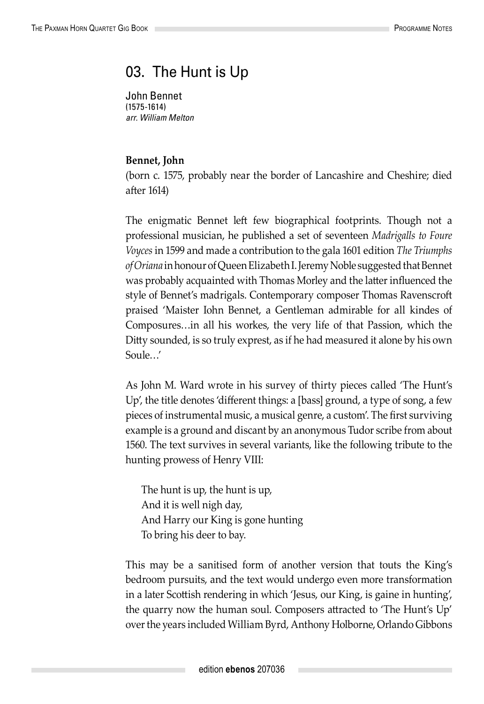## 03. The Hunt is Up

John Bennet (1575-1614) *arr. William Melton*

## **Bennet, John**

(born c. 1575, probably near the border of Lancashire and Cheshire; died after 1614)

The enigmatic Bennet left few biographical footprints. Though not a professional musician, he published a set of seventeen *Madrigalls to Foure Voyces* in 1599 and made a contribution to the gala 1601 edition *The Triumphs of Oriana* in honour of Queen Elizabeth I. Jeremy Noble suggested that Bennet was probably acquainted with Thomas Morley and the latter influenced the style of Bennet's madrigals. Contemporary composer Thomas Ravenscroft praised 'Maister Iohn Bennet, a Gentleman admirable for all kindes of Composures…in all his workes, the very life of that Passion, which the Ditty sounded, is so truly exprest, as if he had measured it alone by his own Soule…'

As John M. Ward wrote in his survey of thirty pieces called 'The Hunt's Up', the title denotes 'different things: a [bass] ground, a type of song, a few pieces of instrumental music, a musical genre, a custom'. The first surviving example is a ground and discant by an anonymous Tudor scribe from about 1560. The text survives in several variants, like the following tribute to the hunting prowess of Henry VIII:

The hunt is up, the hunt is up, And it is well nigh day, And Harry our King is gone hunting To bring his deer to bay.

This may be a sanitised form of another version that touts the King's bedroom pursuits, and the text would undergo even more transformation in a later Scottish rendering in which 'Jesus, our King, is gaine in hunting', the quarry now the human soul. Composers attracted to 'The Hunt's Up' over the years included William Byrd, Anthony Holborne, Orlando Gibbons